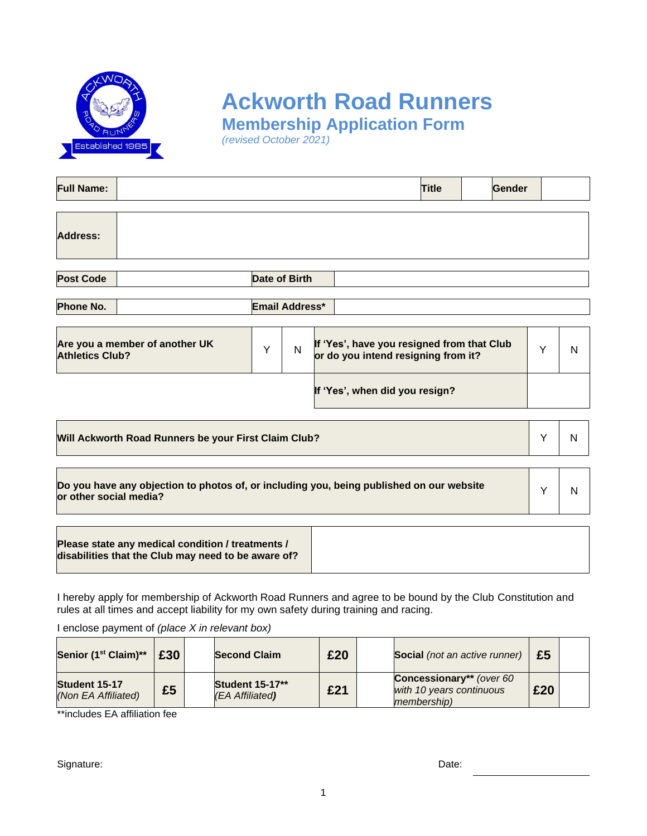

# **Ackworth Road Runners**

**Membership Application Form**

*(revised October 2021)*

| <b>Full Name:</b>                                                                                                  |   |   |                                                                                   | <b>Title</b> | Gender |   |   |  |  |
|--------------------------------------------------------------------------------------------------------------------|---|---|-----------------------------------------------------------------------------------|--------------|--------|---|---|--|--|
| <b>Address:</b>                                                                                                    |   |   |                                                                                   |              |        |   |   |  |  |
| <b>Post Code</b><br><b>Date of Birth</b>                                                                           |   |   |                                                                                   |              |        |   |   |  |  |
| <b>Phone No.</b><br>Email Address*                                                                                 |   |   |                                                                                   |              |        |   |   |  |  |
| Are you a member of another UK<br><b>Athletics Club?</b>                                                           | Y | N | If 'Yes', have you resigned from that Club<br>or do you intend resigning from it? |              |        | Y | N |  |  |
|                                                                                                                    |   |   | If 'Yes', when did you resign?                                                    |              |        |   |   |  |  |
| Will Ackworth Road Runners be your First Claim Club?                                                               |   |   |                                                                                   |              |        |   | N |  |  |
| Do you have any objection to photos of, or including you, being published on our website<br>or other social media? |   |   |                                                                                   |              |        | Y | N |  |  |
| Please state any medical condition / treatments /<br>disabilities that the Club may need to be aware of?           |   |   |                                                                                   |              |        |   |   |  |  |

I hereby apply for membership of Ackworth Road Runners and agree to be bound by the Club Constitution and rules at all times and accept liability for my own safety during training and racing.

I enclose payment of *(place X in relevant box)*

| Senior (1 <sup>st</sup> Claim)**     | £30 | <b>Second Claim</b>                       | £20 | <b>Social</b> (not an active runner)                                                | £5  |  |
|--------------------------------------|-----|-------------------------------------------|-----|-------------------------------------------------------------------------------------|-----|--|
| Student 15-17<br>(Non EA Affiliated) | £5  | <b>Student 15-17**</b><br>(EA Affiliated) | £21 | <b>Concessionary**</b> (over 60)<br>with 10 years continuous<br><i>membership</i> ) | £20 |  |

\*\*includes EA affiliation fee